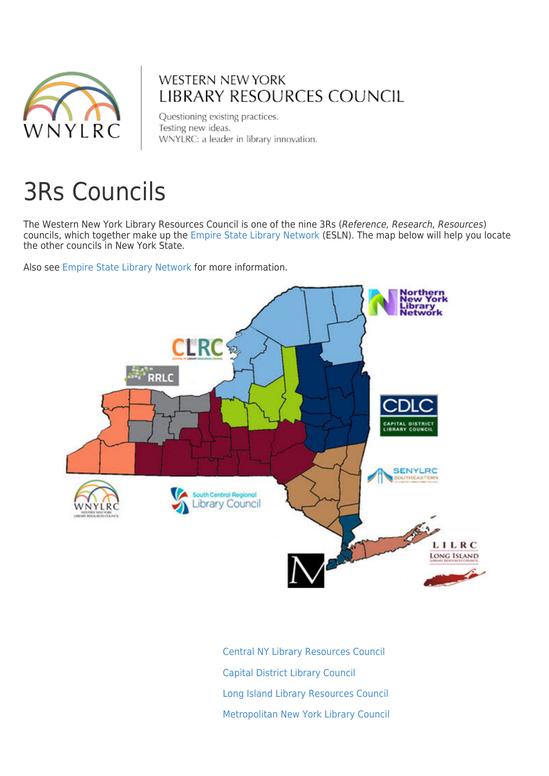

# **WESTERN NEW YORK** LIBRARY RESOURCES COUNCIL

Questioning existing practices. Testing new ideas. WNYLRC: a leader in library innovation.

# 3Rs Councils

The Western New York Library Resources Council is one of the nine 3Rs (Reference, Research, Resources) councils, which together make up the [Empire State Library Network](https://www.esln.org/) (ESLN). The map below will help you locate the other councils in New York State.

Also see [Empire State Library Network](https://www.esln.org) for more information.



 [Central NY Library Resources Council](https://clrc.org/) [Capital District Library Council](http://www.cdlc.org/) [Long Island Library Resources Council](http://www.lilrc.org/) [Metropolitan New York Library Council](http://www.metro.org/)